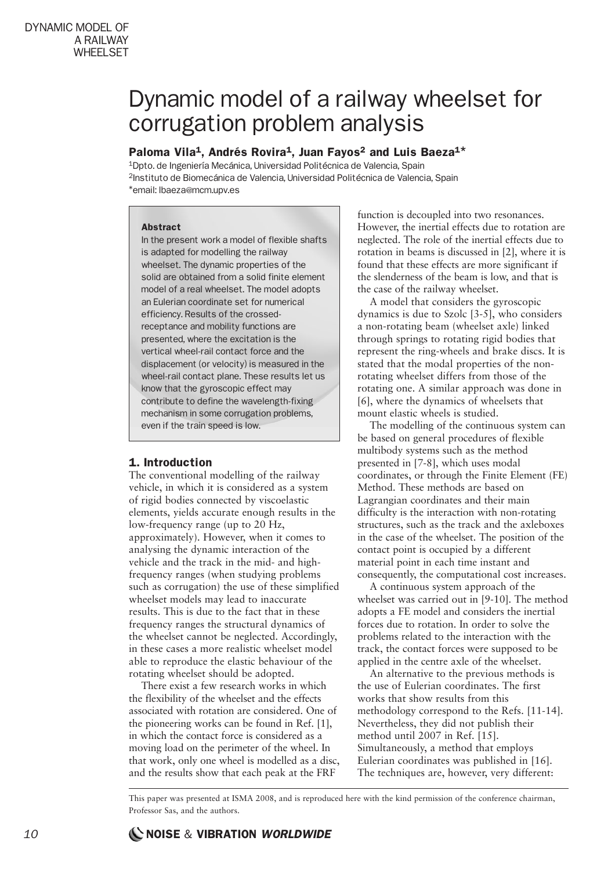# Dynamic model of a railway wheelset for corrugation problem analysis

# Paloma Vila<sup>1</sup>, Andrés Rovira<sup>1</sup>, Juan Fayos<sup>2</sup> and Luis Baeza<sup>1\*</sup>

1Dpto. de Ingeniería Mecánica, Universidad Politécnica de Valencia, Spain 2Instituto de Biomecánica de Valencia, Universidad Politécnica de Valencia, Spain \*email: lbaeza@mcm.upv.es

#### Abstract

In the present work a model of flexible shafts is adapted for modelling the railway wheelset. The dynamic properties of the solid are obtained from a solid finite element model of a real wheelset. The model adopts an Eulerian coordinate set for numerical efficiency. Results of the crossedreceptance and mobility functions are presented, where the excitation is the vertical wheel-rail contact force and the displacement (or velocity) is measured in the wheel-rail contact plane. These results let us know that the gyroscopic effect may contribute to define the wavelength-fixing mechanism in some corrugation problems, even if the train speed is low.

# 1. Introduction

The conventional modelling of the railway vehicle, in which it is considered as a system of rigid bodies connected by viscoelastic elements, yields accurate enough results in the low-frequency range (up to 20 Hz, approximately). However, when it comes to analysing the dynamic interaction of the vehicle and the track in the mid- and highfrequency ranges (when studying problems such as corrugation) the use of these simplified wheelset models may lead to inaccurate results. This is due to the fact that in these frequency ranges the structural dynamics of the wheelset cannot be neglected. Accordingly, in these cases a more realistic wheelset model able to reproduce the elastic behaviour of the rotating wheelset should be adopted.

There exist a few research works in which the flexibility of the wheelset and the effects associated with rotation are considered. One of the pioneering works can be found in Ref. [1], in which the contact force is considered as a moving load on the perimeter of the wheel. In that work, only one wheel is modelled as a disc, and the results show that each peak at the FRF

function is decoupled into two resonances. However, the inertial effects due to rotation are neglected. The role of the inertial effects due to rotation in beams is discussed in [2], where it is found that these effects are more significant if the slenderness of the beam is low, and that is the case of the railway wheelset.

A model that considers the gyroscopic dynamics is due to Szolc [3-5], who considers a non-rotating beam (wheelset axle) linked through springs to rotating rigid bodies that represent the ring-wheels and brake discs. It is stated that the modal properties of the nonrotating wheelset differs from those of the rotating one. A similar approach was done in [6], where the dynamics of wheelsets that mount elastic wheels is studied.

The modelling of the continuous system can be based on general procedures of flexible multibody systems such as the method presented in [7-8], which uses modal coordinates, or through the Finite Element (FE) Method. These methods are based on Lagrangian coordinates and their main difficulty is the interaction with non-rotating structures, such as the track and the axleboxes in the case of the wheelset. The position of the contact point is occupied by a different material point in each time instant and consequently, the computational cost increases.

A continuous system approach of the wheelset was carried out in [9-10]. The method adopts a FE model and considers the inertial forces due to rotation. In order to solve the problems related to the interaction with the track, the contact forces were supposed to be applied in the centre axle of the wheelset.

An alternative to the previous methods is the use of Eulerian coordinates. The first works that show results from this methodology correspond to the Refs. [11-14]. Nevertheless, they did not publish their method until 2007 in Ref. [15]. Simultaneously, a method that employs Eulerian coordinates was published in [16]. The techniques are, however, very different:

This paper was presented at ISMA 2008, and is reproduced here with the kind permission of the conference chairman, Professor Sas, and the authors.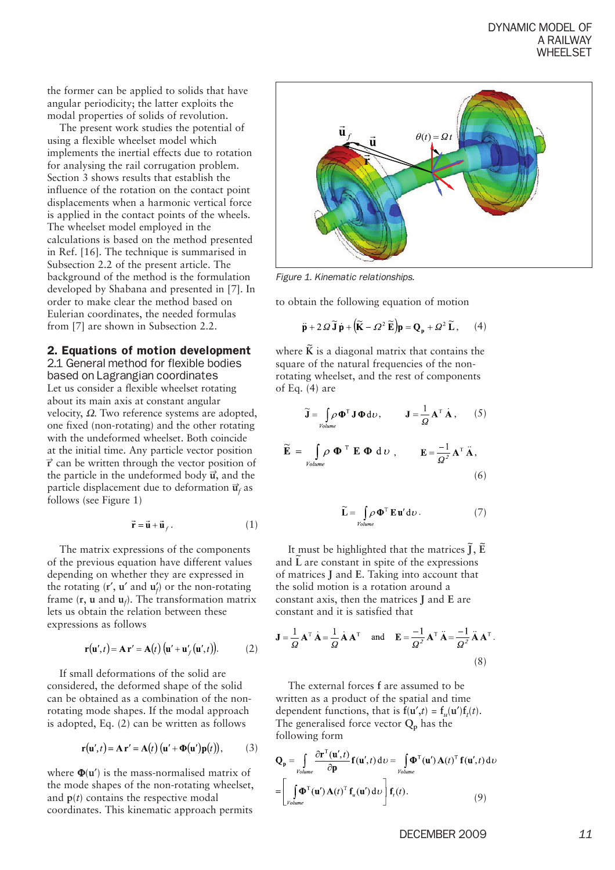the former can be applied to solids that have angular periodicity; the latter exploits the modal properties of solids of revolution.

The present work studies the potential of using a flexible wheelset model which implements the inertial effects due to rotation for analysing the rail corrugation problem. Section 3 shows results that establish the influence of the rotation on the contact point displacements when a harmonic vertical force is applied in the contact points of the wheels. The wheelset model employed in the calculations is based on the method presented in Ref. [16]. The technique is summarised in Subsection 2.2 of the present article. The background of the method is the formulation developed by Shabana and presented in [7]. In order to make clear the method based on Eulerian coordinates, the needed formulas from [7] are shown in Subsection 2.2.

2. Equations of motion development

2.1 General method for flexible bodies based on Lagrangian coordinates Let us consider a flexible wheelset rotating about its main axis at constant angular velocity,  $Ω$ . Two reference systems are adopted, one fixed (non-rotating) and the other rotating with the undeformed wheelset. Both coincide at the initial time. Any particle vector position  $\vec{r}$  can be written through the vector position of the particle in the undeformed body  $\vec{u}$ , and the particle displacement due to deformation  $\vec{u}_f$  as follows (see Figure 1)

$$
\vec{\mathbf{r}} = \vec{\mathbf{u}} + \vec{\mathbf{u}}_f. \tag{1}
$$

The matrix expressions of the components of the previous equation have different values depending on whether they are expressed in the rotating (**r**′, **u**′ and **u**′ *f* ) or the non-rotating frame (**r**, **u** and **u***<sup>f</sup>* ). The transformation matrix lets us obtain the relation between these expressions as follows

$$
\mathbf{r}(\mathbf{u}',t) = \mathbf{A}\mathbf{r}' = \mathbf{A}(t) \left( \mathbf{u}' + \mathbf{u}'_f(\mathbf{u}',t) \right). \tag{2}
$$

If small deformations of the solid are considered, the deformed shape of the solid can be obtained as a combination of the nonrotating mode shapes. If the modal approach is adopted, Eq. (2) can be written as follows

$$
\mathbf{r}(\mathbf{u}',t) = \mathbf{A}\mathbf{r}' = \mathbf{A}(t) (\mathbf{u}' + \mathbf{\Phi}(\mathbf{u}')\mathbf{p}(t)),
$$
 (3)

where Φ(**u**′) is the mass-normalised matrix of the mode shapes of the non-rotating wheelset, and  $p(t)$  contains the respective modal coordinates. This kinematic approach permits



*Figure 1. Kinematic relationships.*

to obtain the following equation of motion

$$
\ddot{\mathbf{p}} + 2\Omega \widetilde{\mathbf{J}} \dot{\mathbf{p}} + \left( \widetilde{\mathbf{K}} - \Omega^2 \widetilde{\mathbf{E}} \right) \mathbf{p} = \mathbf{Q}_p + \Omega^2 \widetilde{\mathbf{L}}, \qquad (4)
$$

where  $\tilde{\mathbf{K}}$  is a diagonal matrix that contains the square of the natural frequencies of the nonrotating wheelset, and the rest of components of Eq. (4) are

$$
\widetilde{\mathbf{J}} = \int_{\text{Volume}} \rho \, \mathbf{\Phi}^{\mathrm{T}} \, \mathbf{J} \, \mathbf{\Phi} \, \mathrm{d} \nu, \qquad \mathbf{J} = \frac{1}{\Omega} \, \mathbf{A}^{\mathrm{T}} \, \dot{\mathbf{A}} \,, \qquad (5)
$$

$$
\widetilde{\mathbf{E}} = \int_{\text{Volume}} \rho \, \mathbf{\Phi}^{\mathrm{T}} \, \mathbf{E} \, \mathbf{\Phi} \, \mathrm{d} \, \nu \,, \qquad \mathbf{E} = \frac{-1}{\Omega^2} \mathbf{A}^{\mathrm{T}} \, \ddot{\mathbf{A}} \,, \tag{6}
$$

$$
\widetilde{\mathbf{L}} = \int_{\text{Volume}} \rho \, \mathbf{\Phi}^{\mathrm{T}} \, \mathbf{E} \, \mathbf{u}' \, \mathrm{d}\nu \,. \tag{7}
$$

It must be highlighted that the matrices  $\tilde{\textbf{J}}, \tilde{\textbf{E}}$ and **L** are constant in spite of the expressions of matrices **J** and **E**. Taking into account that the solid motion is a rotation around a constant axis, then the matrices **J** and **E** are constant and it is satisfied that

$$
\mathbf{J} = \frac{1}{\Omega} \mathbf{A}^{\mathrm{T}} \dot{\mathbf{A}} = \frac{1}{\Omega} \dot{\mathbf{A}} \mathbf{A}^{\mathrm{T}} \text{ and } \mathbf{E} = \frac{-1}{\Omega^2} \mathbf{A}^{\mathrm{T}} \ddot{\mathbf{A}} = \frac{-1}{\Omega^2} \ddot{\mathbf{A}} \mathbf{A}^{\mathrm{T}}
$$
\n(8)

The external forces **f** are assumed to be written as a product of the spatial and time dependent functions, that is  $f(\mathbf{u}',t) = f_u(\mathbf{u}')f_t(t)$ . The generalised force vector  $Q_p$  has the following form

$$
\mathbf{Q}_{\mathbf{p}} = \int_{\text{Volume}} \frac{\partial \mathbf{r}^{\mathrm{T}}(\mathbf{u}',t)}{\partial \mathbf{p}} \mathbf{f}(\mathbf{u}',t) d\upsilon = \int_{\text{Volume}} \mathbf{\Phi}^{\mathrm{T}}(\mathbf{u}') \mathbf{A}(t)^{\mathrm{T}} \mathbf{f}(\mathbf{u}',t) d\upsilon
$$
\n
$$
= \left[ \int_{\text{Volume}} \mathbf{\Phi}^{\mathrm{T}}(\mathbf{u}') \mathbf{A}(t)^{\mathrm{T}} \mathbf{f}_{u}(\mathbf{u}') d\upsilon \right] \mathbf{f}_{t}(t). \tag{9}
$$

DECEMBER 2009 *11*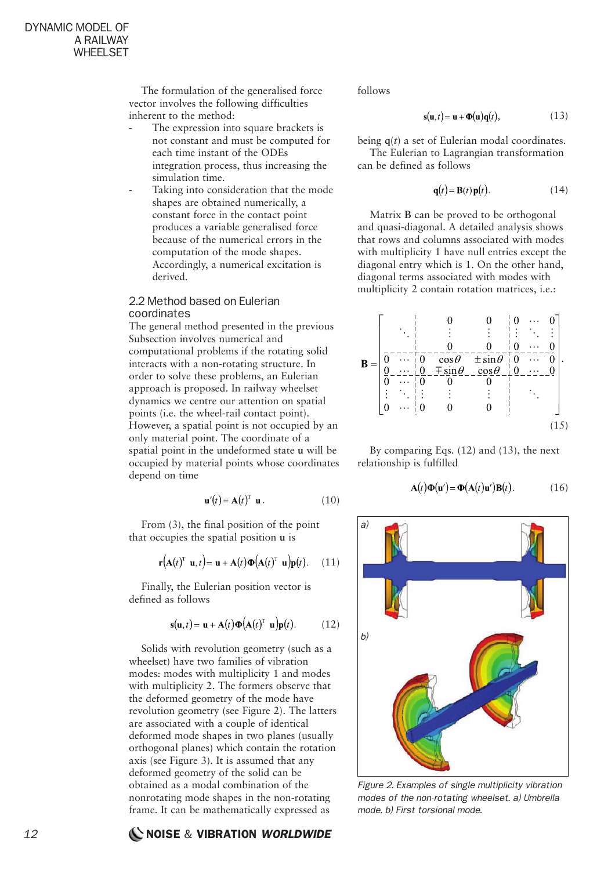The formulation of the generalised force vector involves the following difficulties inherent to the method:

- The expression into square brackets is not constant and must be computed for each time instant of the ODEs integration process, thus increasing the simulation time.
- Taking into consideration that the mode shapes are obtained numerically, a constant force in the contact point produces a variable generalised force because of the numerical errors in the computation of the mode shapes. Accordingly, a numerical excitation is derived.

#### 2.2 Method based on Eulerian coordinates

The general method presented in the previous Subsection involves numerical and computational problems if the rotating solid interacts with a non-rotating structure. In order to solve these problems, an Eulerian approach is proposed. In railway wheelset dynamics we centre our attention on spatial points (i.e. the wheel-rail contact point). However, a spatial point is not occupied by an only material point. The coordinate of a spatial point in the undeformed state **u** will be occupied by material points whose coordinates depend on time

$$
\mathbf{u}'(t) = \mathbf{A}(t)^{\mathrm{T}} \mathbf{u}.
$$
 (10)

From (3), the final position of the point that occupies the spatial position **u** is

$$
\mathbf{r}(\mathbf{A}(t)^{\mathrm{T}} \mathbf{u}, t) = \mathbf{u} + \mathbf{A}(t) \mathbf{\Phi}(\mathbf{A}(t)^{\mathrm{T}} \mathbf{u}) \mathbf{p}(t).
$$
 (11)

Finally, the Eulerian position vector is defined as follows

$$
\mathbf{s}(\mathbf{u},t) = \mathbf{u} + \mathbf{A}(t)\mathbf{\Phi}(\mathbf{A}(t)^{\mathrm{T}} \mathbf{u})\mathbf{p}(t). \quad (12)
$$

Solids with revolution geometry (such as a wheelset) have two families of vibration modes: modes with multiplicity 1 and modes with multiplicity 2. The formers observe that the deformed geometry of the mode have revolution geometry (see Figure 2). The latters are associated with a couple of identical deformed mode shapes in two planes (usually orthogonal planes) which contain the rotation axis (see Figure 3). It is assumed that any deformed geometry of the solid can be obtained as a modal combination of the nonrotating mode shapes in the non-rotating frame. It can be mathematically expressed as

follows

$$
\mathbf{s}(\mathbf{u},t) = \mathbf{u} + \mathbf{\Phi}(\mathbf{u})\mathbf{q}(t),\tag{13}
$$

being **q**(*t*) a set of Eulerian modal coordinates. The Eulerian to Lagrangian transformation can be defined as follows

$$
\mathbf{q}(t) = \mathbf{B}(t)\mathbf{p}(t). \tag{14}
$$

Matrix **B** can be proved to be orthogonal and quasi-diagonal. A detailed analysis shows that rows and columns associated with modes with multiplicity 1 have null entries except the diagonal entry which is 1. On the other hand, diagonal terms associated with modes with multiplicity 2 contain rotation matrices, i.e.:



By comparing Eqs. (12) and (13), the next relationship is fulfilled

$$
\mathbf{A}(t)\mathbf{\Phi}(\mathbf{u}') = \mathbf{\Phi}(\mathbf{A}(t)\mathbf{u}')\mathbf{B}(t).
$$
 (16)



*Figure 2. Examples of single multiplicity vibration modes of the non-rotating wheelset. a) Umbrella mode. b) First torsional mode.*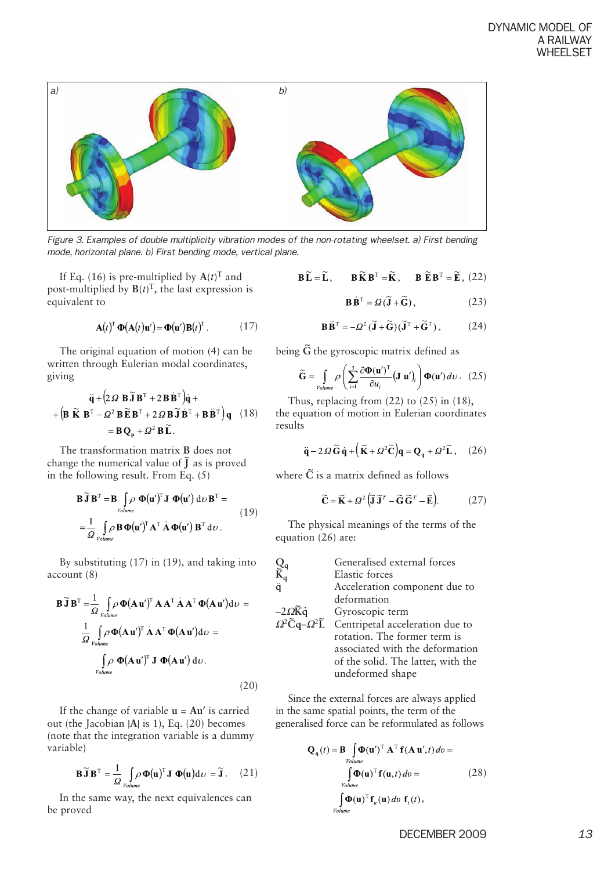

*Figure 3. Examples of double multiplicity vibration modes of the non-rotating wheelset. a) First bending mode, horizontal plane. b) First bending mode, vertical plane.*

If Eq. (16) is pre-multiplied by  $A(t)^T$  and post-multiplied by  $B(t)^T$ , the last expression is equivalent to

$$
\mathbf{A}(t)^{\mathrm{T}} \, \mathbf{\Phi}(\mathbf{A}(t)\mathbf{u}') = \mathbf{\Phi}(\mathbf{u}') \mathbf{B}(t)^{\mathrm{T}} \,. \tag{17}
$$

The original equation of motion (4) can be written through Eulerian modal coordinates, giving

$$
\ddot{\mathbf{q}} + (2 \Omega \mathbf{B} \widetilde{\mathbf{J}} \mathbf{B}^{\mathrm{T}} + 2 \mathbf{B} \dot{\mathbf{B}}^{\mathrm{T}}) \dot{\mathbf{q}} +
$$

$$
+ (\mathbf{B} \widetilde{\mathbf{K}} \mathbf{B}^{\mathrm{T}} - \Omega^2 \mathbf{B} \widetilde{\mathbf{E}} \mathbf{B}^{\mathrm{T}} + 2 \Omega \mathbf{B} \widetilde{\mathbf{J}} \dot{\mathbf{B}}^{\mathrm{T}} + \mathbf{B} \ddot{\mathbf{B}}^{\mathrm{T}}) \mathbf{q} \quad (18)
$$

$$
= \mathbf{B} \mathbf{Q}_n + \Omega^2 \mathbf{B} \widetilde{\mathbf{L}}.
$$

The transformation matrix **B** does not change the numerical value of  $\tilde{J}$  as is proved in the following result. From Eq. (5)

$$
\mathbf{B}\widetilde{\mathbf{J}}\mathbf{B}^{\mathrm{T}} = \mathbf{B} \int_{\text{Volume}} \boldsymbol{\rho} \, \mathbf{\Phi}(\mathbf{u}')^{\mathrm{T}} \mathbf{J} \, \mathbf{\Phi}(\mathbf{u}') \, \mathrm{d}\nu \, \mathbf{B}^{\mathrm{T}} =
$$
\n
$$
= \frac{1}{\Omega} \int_{\text{Volume}} \boldsymbol{\rho} \, \mathbf{B} \, \mathbf{\Phi}(\mathbf{u}')^{\mathrm{T}} \mathbf{A}^{\mathrm{T}} \, \dot{\mathbf{A}} \, \mathbf{\Phi}(\mathbf{u}') \, \mathbf{B}^{\mathrm{T}} \, \mathrm{d}\nu. \tag{19}
$$

By substituting (17) in (19), and taking into account (8)

$$
\mathbf{B}\widetilde{\mathbf{J}}\mathbf{B}^{\mathrm{T}} = \frac{1}{\Omega} \int_{\text{Volume}} \rho \, \Phi(\mathbf{A}\mathbf{u}')^{\mathrm{T}} \, \mathbf{A}\mathbf{A}^{\mathrm{T}} \, \dot{\mathbf{A}}\mathbf{A}^{\mathrm{T}} \, \Phi(\mathbf{A}\mathbf{u}') d\upsilon =
$$
\n
$$
\frac{1}{\Omega} \int_{\text{Volume}} \rho \, \Phi(\mathbf{A}\mathbf{u}')^{\mathrm{T}} \, \dot{\mathbf{A}}\mathbf{A}^{\mathrm{T}} \, \Phi(\mathbf{A}\mathbf{u}') d\upsilon =
$$
\n
$$
\int_{\text{Volume}} \rho \, \Phi(\mathbf{A}\mathbf{u}')^{\mathrm{T}} \, \mathbf{J} \, \Phi(\mathbf{A}\mathbf{u}') \, d\upsilon.
$$
\n(20)

If the change of variable **u** = **Au**′ is carried out (the Jacobian |**A**| is 1), Eq. (20) becomes (note that the integration variable is a dummy variable)

$$
\mathbf{B}\widetilde{\mathbf{J}}\mathbf{B}^{\mathrm{T}} = \frac{1}{\Omega} \int_{\text{Volume}} \rho \, \Phi(\mathbf{u})^{\mathrm{T}} \mathbf{J} \, \Phi(\mathbf{u}) \mathrm{d} \nu = \widetilde{\mathbf{J}} \,. \tag{21}
$$

In the same way, the next equivalences can be proved

$$
\mathbf{B}\widetilde{\mathbf{L}} = \widetilde{\mathbf{L}}, \qquad \mathbf{B}\widetilde{\mathbf{K}}\mathbf{B}^{\mathrm{T}} = \widetilde{\mathbf{K}}, \qquad \mathbf{B}\ \widetilde{\mathbf{E}}\mathbf{B}^{\mathrm{T}} = \widetilde{\mathbf{E}}, \ (22)
$$

$$
\mathbf{B}\dot{\mathbf{B}}^{\mathrm{T}} = \varOmega(\widetilde{\mathbf{J}} + \widetilde{\mathbf{G}}), \tag{23}
$$

$$
\mathbf{B}\ddot{\mathbf{B}}^{\mathrm{T}} = -\Omega^2 (\widetilde{\mathbf{J}} + \widetilde{\mathbf{G}})(\widetilde{\mathbf{J}}^{\mathrm{T}} + \widetilde{\mathbf{G}}^{\mathrm{T}}), \quad (24)
$$

being  $\tilde{G}$  the gyroscopic matrix defined as

$$
\widetilde{\mathbf{G}} = \int_{\text{Volume}} \rho \left( \sum_{i=1}^{3} \frac{\partial \Phi(\mathbf{u}')^{\mathrm{T}}}{\partial u_i} (\mathbf{J} \mathbf{u}')_i \right) \Phi(\mathbf{u}') \, d\upsilon \,. \tag{25}
$$

Thus, replacing from (22) to (25) in (18),

the equation of motion in Eulerian coordinates results

$$
\ddot{\mathbf{q}} - 2\Omega \widetilde{\mathbf{G}} \dot{\mathbf{q}} + \left( \widetilde{\mathbf{K}} + \Omega^2 \widetilde{\mathbf{C}} \right) \mathbf{q} = \mathbf{Q}_q + \Omega^2 \widetilde{\mathbf{L}} \,, \quad (26)
$$

where  $\tilde{C}$  is a matrix defined as follows

$$
\widetilde{\mathbf{C}} = \widetilde{\mathbf{K}} + \varOmega^2 \left( \widetilde{\mathbf{J}} \, \widetilde{\mathbf{J}}^T - \widetilde{\mathbf{G}} \, \widetilde{\mathbf{G}}^T - \widetilde{\mathbf{E}} \right). \tag{27}
$$

The physical meanings of the terms of the equation (26) are:

|                                                              | Generalised external forces        |
|--------------------------------------------------------------|------------------------------------|
| $\begin{matrix} Q_q \\ \tilde{K}_q \\ \ddot{q} \end{matrix}$ | Elastic forces                     |
|                                                              | Acceleration component due to      |
|                                                              | deformation                        |
| $-2\Omega \tilde{K} \dot{q}$                                 | Gyroscopic term                    |
| $\Omega^2 \tilde{C} q - \Omega^2 \tilde{L}$                  | Centripetal acceleration due to    |
|                                                              | rotation. The former term is       |
|                                                              | associated with the deformation    |
|                                                              | of the solid. The latter, with the |
|                                                              | undeformed shape                   |

Since the external forces are always applied in the same spatial points, the term of the generalised force can be reformulated as follows

$$
\mathbf{Q}_{q}(t) = \mathbf{B} \int_{\text{Volume}} \mathbf{\Phi}(\mathbf{u}')^{\mathrm{T}} \mathbf{A}^{\mathrm{T}} \mathbf{f}(\mathbf{A} \mathbf{u}',t) dv =
$$
\n
$$
\int_{\text{Volume}} \mathbf{\Phi}(\mathbf{u})^{\mathrm{T}} \mathbf{f}(\mathbf{u},t) dv =
$$
\n
$$
\int_{\text{Volume}} \mathbf{\Phi}(\mathbf{u})^{\mathrm{T}} \mathbf{f}_{u}(\mathbf{u}) dv \mathbf{f}_{t}(t),
$$
\n(28)

DECEMBER 2009 *13*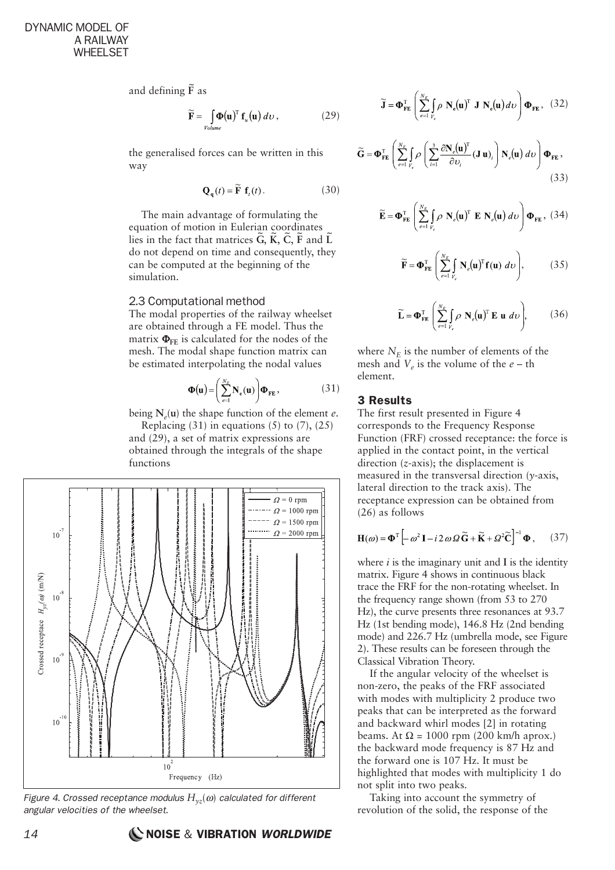and defining  $\tilde{F}$  as

$$
\widetilde{\mathbf{F}} = \int_{Volume} \boldsymbol{\Phi}(\mathbf{u})^{\mathrm{T}} \, \mathbf{f}_{u}(\mathbf{u}) \, dv \,, \tag{29}
$$

the generalised forces can be written in this way

$$
\mathbf{Q}_{a}(t) = \widetilde{\mathbf{F}} \mathbf{f}_{t}(t). \tag{30}
$$

The main advantage of formulating the equation of motion in Eulerian coordinates lies in the fact that matrices  $\tilde{G}$ ,  $\tilde{K}$ ,  $\tilde{C}$ ,  $\tilde{F}$  and  $\tilde{L}$ do not depend on time and consequently, they can be computed at the beginning of the simulation.

#### 2.3 Computational method

The modal properties of the railway wheelset are obtained through a FE model. Thus the matrix  $\Phi_{\text{FE}}$  is calculated for the nodes of the mesh. The modal shape function matrix can be estimated interpolating the nodal values

$$
\mathbf{\Phi}(\mathbf{u}) = \left(\sum_{e=1}^{N_E} \mathbf{N}_e(\mathbf{u})\right) \mathbf{\Phi}_{FE},\tag{31}
$$

being  $N_e(u)$  the shape function of the element *e*.

Replacing  $(31)$  in equations  $(5)$  to  $(7)$ ,  $(25)$ and (29), a set of matrix expressions are obtained through the integrals of the shape functions



*Figure 4. Crossed receptance modulus*  $H_{yz}(\omega)$  *calculated for different angular velocities of the wheelset.*

$$
\sum_{e=1}^{12} \left( \frac{1}{e} \right)^{1/2} \left( \frac{1}{e} \right)^{1/2} \left( \frac{1}{e} \right)^{1/2} \left( \frac{1}{e} \right)^{1/2} \left( \frac{1}{e} \right)^{1/2} \left( \frac{1}{e} \right)^{1/2} \left( \frac{1}{e} \right)^{1/2} \left( \frac{1}{e} \right)^{1/2} \left( \frac{1}{e} \right)^{1/2} \left( \frac{1}{e} \right)^{1/2} \left( \frac{1}{e} \right)^{1/2} \left( \frac{1}{e} \right)^{1/2} \left( \frac{1}{e} \right)^{1/2} \left( \frac{1}{e} \right)^{1/2} \left( \frac{1}{e} \right)^{1/2} \left( \frac{1}{e} \right)^{1/2} \left( \frac{1}{e} \right)^{1/2} \left( \frac{1}{e} \right)^{1/2} \left( \frac{1}{e} \right)^{1/2} \left( \frac{1}{e} \right)^{1/2} \left( \frac{1}{e} \right)^{1/2} \left( \frac{1}{e} \right)^{1/2} \left( \frac{1}{e} \right)^{1/2} \left( \frac{1}{e} \right)^{1/2} \left( \frac{1}{e} \right)^{1/2} \left( \frac{1}{e} \right)^{1/2} \left( \frac{1}{e} \right)^{1/2} \left( \frac{1}{e} \right)^{1/2} \left( \frac{1}{e} \right)^{1/2} \left( \frac{1}{e} \right)^{1/2} \left( \frac{1}{e} \right)^{1/2} \left( \frac{1}{e} \right)^{1/2} \left( \frac{1}{e} \right)^{1/2} \left( \frac{1}{e} \right)^{1/2} \left( \frac{1}{e} \right)^{1/2} \left( \frac{1}{e} \right)^{1/2} \left( \frac{1}{e} \right)^{1/2} \left( \frac{1}{e} \right)^{1/2} \left( \frac{1}{e} \right)^{1/2} \left( \frac{1}{e} \right)^{1/2} \left( \frac{1}{e} \right)^{1/2} \left( \frac{1}{e} \
$$

 $\widetilde{\mathbf{G}} = \mathbf{\Phi}_{\text{FF}}^{\text{T}} \left( \sum_{l}^{N_E} \left( \rho \left( \sum_{l} \frac{\partial \mathbf{N}_e(\mathbf{u})^{\text{T}}}{\partial \mathbf{M}_e(\mathbf{u})_l} (\mathbf{J} \mathbf{u})_l \right) \mathbf{N}_e(\mathbf{u}) \right) \mathbf{\Phi}_{\text{FF}} \right)$ 

$$
\widetilde{\mathbf{E}} = \mathbf{\Phi}_{\mathbf{FE}}^{\mathrm{T}} \left( \sum_{e=1}^{N_E} \int_{V_e} \rho \, \mathbf{N}_e(\mathbf{u})^{\mathrm{T}} \, \mathbf{E} \, \mathbf{N}_e(\mathbf{u}) \, d\upsilon \right) \mathbf{\Phi}_{\mathbf{FE}} \,, \tag{34}
$$

 $\widetilde{\mathbf{J}} = \mathbf{\Phi}_{\text{FE}}^{\text{T}} \left( \sum_{e=1}^{N_E} \int_{V_e} \rho \mathbf{N}_e(\mathbf{u})^{\text{T}} \mathbf{J} \mathbf{N}_e(\mathbf{u}) d\upsilon \right) \mathbf{\Phi}_{\text{FE}}$ , (32)

$$
\widetilde{\mathbf{F}} = \mathbf{\Phi}_{\mathbf{FE}}^{\mathrm{T}} \left( \sum_{e=1}^{N_E} \int_{V_e} \mathbf{N}_e(\mathbf{u})^{\mathrm{T}} \mathbf{f}(\mathbf{u}) \ d\upsilon \right), \tag{35}
$$

$$
\widetilde{\mathbf{L}} = \mathbf{\Phi}_{\mathbf{FE}}^{\mathrm{T}} \left( \sum_{e=1}^{N_E} \int_{V_e} \rho \, \mathbf{N}_e(\mathbf{u})^{\mathrm{T}} \, \mathbf{E} \, \mathbf{u} \, d\upsilon \right), \tag{36}
$$

where  $N_E$  is the number of elements of the mesh and  $V_e$  is the volume of the  $e$  – th element.

#### 3 Results

The first result presented in Figure 4 corresponds to the Frequency Response Function (FRF) crossed receptance: the force is applied in the contact point, in the vertical direction (*z*-axis); the displacement is measured in the transversal direction (*y*-axis, lateral direction to the track axis). The receptance expression can be obtained from (26) as follows

$$
\mathbf{H}(\omega) = \mathbf{\Phi}^{\mathrm{T}} \left[ -\omega^2 \mathbf{I} - i \, 2 \, \omega \, \Omega \, \widetilde{\mathbf{G}} + \widetilde{\mathbf{K}} + \Omega^2 \widetilde{\mathbf{C}} \right]^{-1} \mathbf{\Phi} \,, \qquad (37)
$$

where  $i$  is the imaginary unit and  $\bf{I}$  is the identity matrix. Figure 4 shows in continuous black trace the FRF for the non-rotating wheelset. In the frequency range shown (from 53 to 270 Hz), the curve presents three resonances at 93.7 Hz (1st bending mode), 146.8 Hz (2nd bending mode) and 226.7 Hz (umbrella mode, see Figure 2). These results can be foreseen through the Classical Vibration Theory.

If the angular velocity of the wheelset is non-zero, the peaks of the FRF associated with modes with multiplicity 2 produce two peaks that can be interpreted as the forward and backward whirl modes [2] in rotating beams. At  $\Omega$  = 1000 rpm (200 km/h aprox.) the backward mode frequency is 87 Hz and the forward one is 107 Hz. It must be highlighted that modes with multiplicity 1 do not split into two peaks.

Taking into account the symmetry of revolution of the solid, the response of the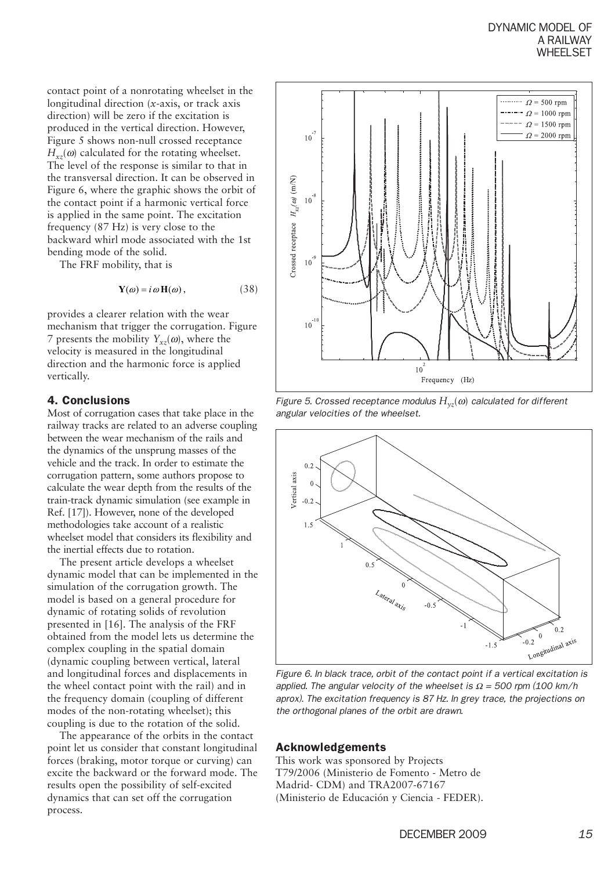contact point of a nonrotating wheelset in the longitudinal direction (*x*-axis, or track axis direction) will be zero if the excitation is produced in the vertical direction. However, Figure 5 shows non-null crossed receptance  $H_{xx}(\omega)$  calculated for the rotating wheelset. The level of the response is similar to that in the transversal direction. It can be observed in Figure 6, where the graphic shows the orbit of the contact point if a harmonic vertical force is applied in the same point. The excitation frequency (87 Hz) is very close to the backward whirl mode associated with the 1st bending mode of the solid.

The FRF mobility, that is

$$
\mathbf{Y}(\omega) = i \omega \mathbf{H}(\omega), \qquad (38)
$$

provides a clearer relation with the wear mechanism that trigger the corrugation. Figure 7 presents the mobility  $Y_{xx}(\omega)$ , where the velocity is measured in the longitudinal direction and the harmonic force is applied vertically.

#### 4. Conclusions

Most of corrugation cases that take place in the railway tracks are related to an adverse coupling between the wear mechanism of the rails and the dynamics of the unsprung masses of the vehicle and the track. In order to estimate the corrugation pattern, some authors propose to calculate the wear depth from the results of the train-track dynamic simulation (see example in Ref. [17]). However, none of the developed methodologies take account of a realistic wheelset model that considers its flexibility and the inertial effects due to rotation.

The present article develops a wheelset dynamic model that can be implemented in the simulation of the corrugation growth. The model is based on a general procedure for dynamic of rotating solids of revolution presented in [16]. The analysis of the FRF obtained from the model lets us determine the complex coupling in the spatial domain (dynamic coupling between vertical, lateral and longitudinal forces and displacements in the wheel contact point with the rail) and in the frequency domain (coupling of different modes of the non-rotating wheelset); this coupling is due to the rotation of the solid.

The appearance of the orbits in the contact point let us consider that constant longitudinal forces (braking, motor torque or curving) can excite the backward or the forward mode. The results open the possibility of self-excited dynamics that can set off the corrugation process.



*Figure 5. Crossed receptance modulus*  $H_{yz}(\omega)$  *calculated for different angular velocities of the wheelset.*



*Figure 6. In black trace, orbit of the contact point if a vertical excitation is applied. The angular velocity of the wheelset is Ω = 500 rpm (100 km/h aprox). The excitation frequency is 87 Hz. In grey trace, the projections on the orthogonal planes of the orbit are drawn.*

#### Acknowledgements

This work was sponsored by Projects T79/2006 (Ministerio de Fomento - Metro de Madrid- CDM) and TRA2007-67167 (Ministerio de Educación y Ciencia - FEDER).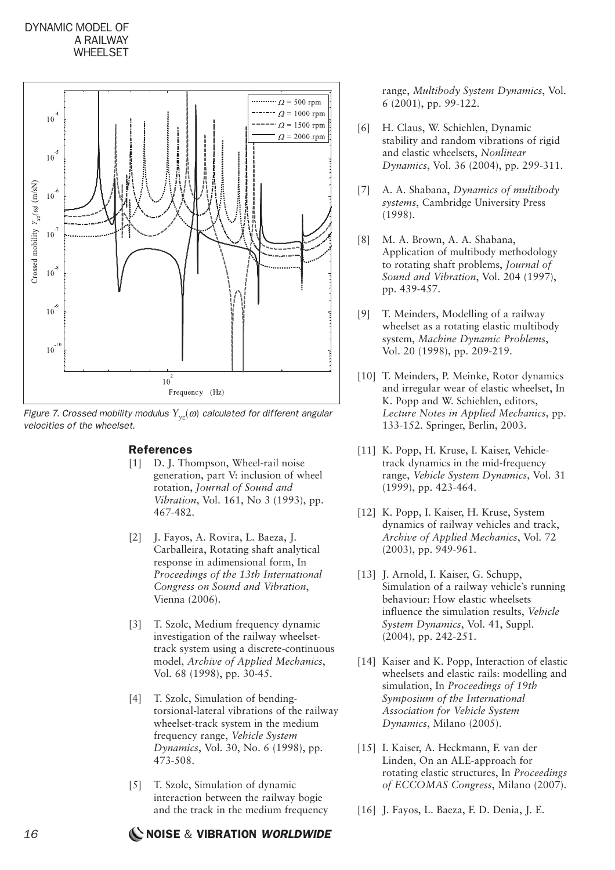## DYNAMIC MODEL OF A RAILWAY **WHEELSET**



*Figure 7. Crossed mobility modulus*  $Y_{yz}(\omega)$  *calculated for different angular velocities of the wheelset.*

# References

- [1] D. J. Thompson, Wheel-rail noise generation, part V: inclusion of wheel rotation, *Journal of Sound and Vibration*, Vol. 161, No 3 (1993), pp. 467-482.
- [2] J. Fayos, A. Rovira, L. Baeza, J. Carballeira, Rotating shaft analytical response in adimensional form, In *Proceedings of the 13th International Congress on Sound and Vibration*, Vienna (2006).
- [3] T. Szolc, Medium frequency dynamic investigation of the railway wheelsettrack system using a discrete-continuous model, *Archive of Applied Mechanics*, Vol. 68 (1998), pp. 30-45.
- [4] T. Szolc, Simulation of bendingtorsional-lateral vibrations of the railway wheelset-track system in the medium frequency range, *Vehicle System Dynamics*, Vol. 30, No. 6 (1998), pp. 473-508.
- [5] T. Szolc, Simulation of dynamic interaction between the railway bogie and the track in the medium frequency

range, *Multibody System Dynamics*, Vol. 6 (2001), pp. 99-122.

- [6] H. Claus, W. Schiehlen, Dynamic stability and random vibrations of rigid and elastic wheelsets, *Nonlinear Dynamics*, Vol. 36 (2004), pp. 299-311.
- [7] A. A. Shabana, *Dynamics of multibody systems*, Cambridge University Press (1998).
- [8] M. A. Brown, A. A. Shabana, Application of multibody methodology to rotating shaft problems, *Journal of Sound and Vibration*, Vol. 204 (1997), pp. 439-457.
- [9] T. Meinders, Modelling of a railway wheelset as a rotating elastic multibody system, *Machine Dynamic Problems*, Vol. 20 (1998), pp. 209-219.
- [10] T. Meinders, P. Meinke, Rotor dynamics and irregular wear of elastic wheelset, In K. Popp and W. Schiehlen, editors, *Lecture Notes in Applied Mechanics*, pp. 133-152. Springer, Berlin, 2003.
- [11] K. Popp, H. Kruse, I. Kaiser, Vehicletrack dynamics in the mid-frequency range, *Vehicle System Dynamics*, Vol. 31 (1999), pp. 423-464.
- [12] K. Popp, I. Kaiser, H. Kruse, System dynamics of railway vehicles and track, *Archive of Applied Mechanics*, Vol. 72 (2003), pp. 949-961.
- [13] J. Arnold, I. Kaiser, G. Schupp, Simulation of a railway vehicle's running behaviour: How elastic wheelsets influence the simulation results, *Vehicle System Dynamics*, Vol. 41, Suppl. (2004), pp. 242-251.
- [14] Kaiser and K. Popp, Interaction of elastic wheelsets and elastic rails: modelling and simulation, In *Proceedings of 19th Symposium of the International Association for Vehicle System Dynamics*, Milano (2005).
- [15] I. Kaiser, A. Heckmann, F. van der Linden, On an ALE-approach for rotating elastic structures, In *Proceedings of ECCOMAS Congress*, Milano (2007).
- [16] J. Fayos, L. Baeza, F. D. Denia, J. E.

# *16* NOISE & VIBRATION *WORLDWIDE*